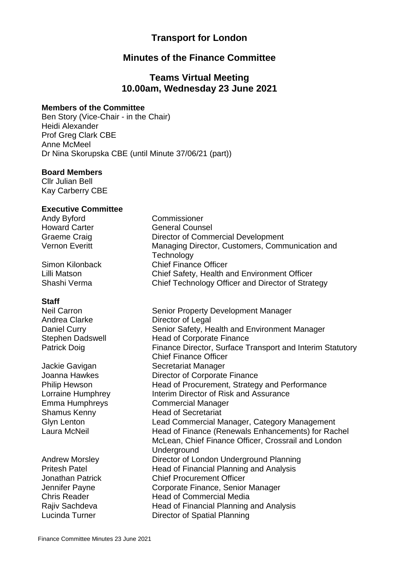# **Transport for London**

### **Minutes of the Finance Committee**

### **Teams Virtual Meeting 10.00am, Wednesday 23 June 2021**

#### **Members of the Committee**

Ben Story (Vice-Chair - in the Chair) Heidi Alexander Prof Greg Clark CBE Anne McMeel Dr Nina Skorupska CBE (until Minute 37/06/21 (part))

#### **Board Members**

Cllr Julian Bell Kay Carberry CBE

#### **Executive Committee**

Andy Byford Commissioner

#### **Staff**

Andrea Clarke **Director of Legal** 

Howard Carter General Counsel Graeme Craig **Director of Commercial Development** Vernon Everitt Managing Director, Customers, Communication and **Technology** Simon Kilonback Chief Finance Officer Lilli Matson Chief Safety, Health and Environment Officer Shashi Verma Chief Technology Officer and Director of Strategy

Neil Carron Senior Property Development Manager Daniel Curry Senior Safety, Health and Environment Manager Stephen Dadswell Head of Corporate Finance Patrick Doig Finance Director, Surface Transport and Interim Statutory Chief Finance Officer Jackie Gavigan Secretariat Manager Joanna Hawkes Director of Corporate Finance Philip Hewson Head of Procurement, Strategy and Performance Lorraine Humphrey **Interim Director of Risk and Assurance** Emma Humphreys Commercial Manager Shamus Kenny **Head of Secretariat** Glyn Lenton Lead Commercial Manager, Category Management Laura McNeil **Head of Finance (Renewals Enhancements)** for Rachel McLean, Chief Finance Officer, Crossrail and London **Underground** Andrew Morsley Director of London Underground Planning Pritesh Patel **Head of Financial Planning and Analysis** Jonathan Patrick Chief Procurement Officer Jennifer Payne Corporate Finance, Senior Manager Chris Reader **Head of Commercial Media** Rajiv Sachdeva **Head of Financial Planning and Analysis** Lucinda Turner **Director of Spatial Planning**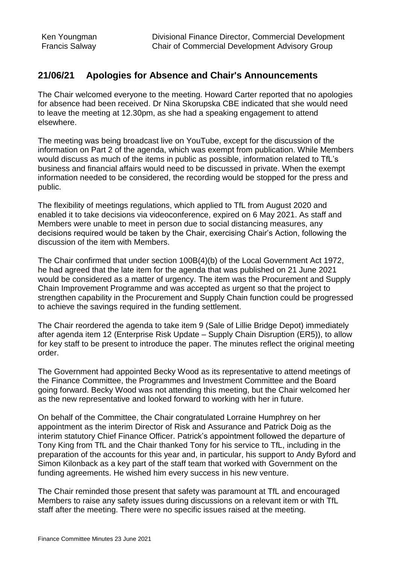### **21/06/21 Apologies for Absence and Chair's Announcements**

The Chair welcomed everyone to the meeting. Howard Carter reported that no apologies for absence had been received. Dr Nina Skorupska CBE indicated that she would need to leave the meeting at 12.30pm, as she had a speaking engagement to attend elsewhere.

The meeting was being broadcast live on YouTube, except for the discussion of the information on Part 2 of the agenda, which was exempt from publication. While Members would discuss as much of the items in public as possible, information related to TfL's business and financial affairs would need to be discussed in private. When the exempt information needed to be considered, the recording would be stopped for the press and public.

The flexibility of meetings regulations, which applied to TfL from August 2020 and enabled it to take decisions via videoconference, expired on 6 May 2021. As staff and Members were unable to meet in person due to social distancing measures, any decisions required would be taken by the Chair, exercising Chair's Action, following the discussion of the item with Members.

The Chair confirmed that under section 100B(4)(b) of the Local Government Act 1972, he had agreed that the late item for the agenda that was published on 21 June 2021 would be considered as a matter of urgency. The item was the Procurement and Supply Chain Improvement Programme and was accepted as urgent so that the project to strengthen capability in the Procurement and Supply Chain function could be progressed to achieve the savings required in the funding settlement.

The Chair reordered the agenda to take item 9 (Sale of Lillie Bridge Depot) immediately after agenda item 12 (Enterprise Risk Update – Supply Chain Disruption (ER5)), to allow for key staff to be present to introduce the paper. The minutes reflect the original meeting order.

The Government had appointed Becky Wood as its representative to attend meetings of the Finance Committee, the Programmes and Investment Committee and the Board going forward. Becky Wood was not attending this meeting, but the Chair welcomed her as the new representative and looked forward to working with her in future.

On behalf of the Committee, the Chair congratulated Lorraine Humphrey on her appointment as the interim Director of Risk and Assurance and Patrick Doig as the interim statutory Chief Finance Officer. Patrick's appointment followed the departure of Tony King from TfL and the Chair thanked Tony for his service to TfL, including in the preparation of the accounts for this year and, in particular, his support to Andy Byford and Simon Kilonback as a key part of the staff team that worked with Government on the funding agreements. He wished him every success in his new venture.

The Chair reminded those present that safety was paramount at TfL and encouraged Members to raise any safety issues during discussions on a relevant item or with TfL staff after the meeting. There were no specific issues raised at the meeting.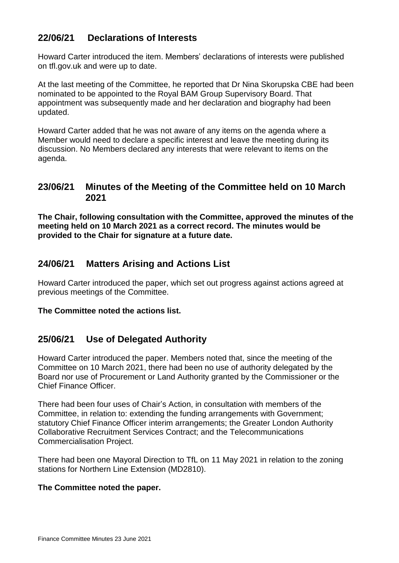# **22/06/21 Declarations of Interests**

Howard Carter introduced the item. Members' declarations of interests were published on tfl.gov.uk and were up to date.

At the last meeting of the Committee, he reported that Dr Nina Skorupska CBE had been nominated to be appointed to the Royal BAM Group Supervisory Board. That appointment was subsequently made and her declaration and biography had been updated.

Howard Carter added that he was not aware of any items on the agenda where a Member would need to declare a specific interest and leave the meeting during its discussion. No Members declared any interests that were relevant to items on the agenda.

### **23/06/21 Minutes of the Meeting of the Committee held on 10 March 2021**

**The Chair, following consultation with the Committee, approved the minutes of the meeting held on 10 March 2021 as a correct record. The minutes would be provided to the Chair for signature at a future date.**

# **24/06/21 Matters Arising and Actions List**

Howard Carter introduced the paper, which set out progress against actions agreed at previous meetings of the Committee.

### **The Committee noted the actions list.**

### **25/06/21 Use of Delegated Authority**

Howard Carter introduced the paper. Members noted that, since the meeting of the Committee on 10 March 2021, there had been no use of authority delegated by the Board nor use of Procurement or Land Authority granted by the Commissioner or the Chief Finance Officer.

There had been four uses of Chair's Action, in consultation with members of the Committee, in relation to: extending the funding arrangements with Government; statutory Chief Finance Officer interim arrangements; the Greater London Authority Collaborative Recruitment Services Contract; and the Telecommunications Commercialisation Project.

There had been one Mayoral Direction to TfL on 11 May 2021 in relation to the zoning stations for Northern Line Extension (MD2810).

### **The Committee noted the paper.**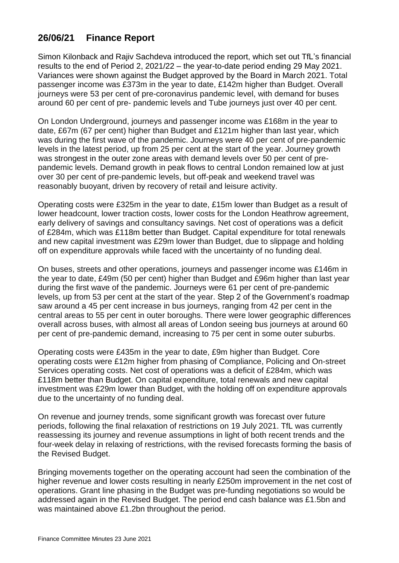# **26/06/21 Finance Report**

Simon Kilonback and Rajiv Sachdeva introduced the report, which set out TfL's financial results to the end of Period 2, 2021/22 – the year-to-date period ending 29 May 2021. Variances were shown against the Budget approved by the Board in March 2021. Total passenger income was £373m in the year to date, £142m higher than Budget. Overall journeys were 53 per cent of pre-coronavirus pandemic level, with demand for buses around 60 per cent of pre- pandemic levels and Tube journeys just over 40 per cent.

On London Underground, journeys and passenger income was £168m in the year to date, £67m (67 per cent) higher than Budget and £121m higher than last year, which was during the first wave of the pandemic. Journeys were 40 per cent of pre-pandemic levels in the latest period, up from 25 per cent at the start of the year. Journey growth was strongest in the outer zone areas with demand levels over 50 per cent of prepandemic levels. Demand growth in peak flows to central London remained low at just over 30 per cent of pre-pandemic levels, but off-peak and weekend travel was reasonably buoyant, driven by recovery of retail and leisure activity.

Operating costs were £325m in the year to date, £15m lower than Budget as a result of lower headcount, lower traction costs, lower costs for the London Heathrow agreement, early delivery of savings and consultancy savings. Net cost of operations was a deficit of £284m, which was £118m better than Budget. Capital expenditure for total renewals and new capital investment was £29m lower than Budget, due to slippage and holding off on expenditure approvals while faced with the uncertainty of no funding deal.

On buses, streets and other operations, journeys and passenger income was £146m in the year to date, £49m (50 per cent) higher than Budget and £96m higher than last year during the first wave of the pandemic. Journeys were 61 per cent of pre-pandemic levels, up from 53 per cent at the start of the year. Step 2 of the Government's roadmap saw around a 45 per cent increase in bus journeys, ranging from 42 per cent in the central areas to 55 per cent in outer boroughs. There were lower geographic differences overall across buses, with almost all areas of London seeing bus journeys at around 60 per cent of pre-pandemic demand, increasing to 75 per cent in some outer suburbs.

Operating costs were £435m in the year to date, £9m higher than Budget. Core operating costs were £12m higher from phasing of Compliance, Policing and On-street Services operating costs. Net cost of operations was a deficit of £284m, which was £118m better than Budget. On capital expenditure, total renewals and new capital investment was £29m lower than Budget, with the holding off on expenditure approvals due to the uncertainty of no funding deal.

On revenue and journey trends, some significant growth was forecast over future periods, following the final relaxation of restrictions on 19 July 2021. TfL was currently reassessing its journey and revenue assumptions in light of both recent trends and the four-week delay in relaxing of restrictions, with the revised forecasts forming the basis of the Revised Budget.

Bringing movements together on the operating account had seen the combination of the higher revenue and lower costs resulting in nearly £250m improvement in the net cost of operations. Grant line phasing in the Budget was pre-funding negotiations so would be addressed again in the Revised Budget. The period end cash balance was £1.5bn and was maintained above £1.2bn throughout the period.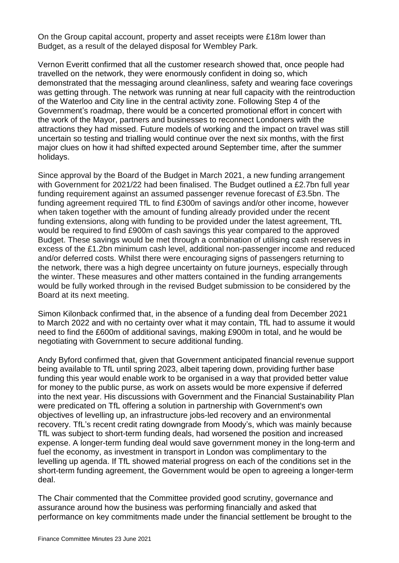On the Group capital account, property and asset receipts were £18m lower than Budget, as a result of the delayed disposal for Wembley Park.

Vernon Everitt confirmed that all the customer research showed that, once people had travelled on the network, they were enormously confident in doing so, which demonstrated that the messaging around cleanliness, safety and wearing face coverings was getting through. The network was running at near full capacity with the reintroduction of the Waterloo and City line in the central activity zone. Following Step 4 of the Government's roadmap, there would be a concerted promotional effort in concert with the work of the Mayor, partners and businesses to reconnect Londoners with the attractions they had missed. Future models of working and the impact on travel was still uncertain so testing and trialling would continue over the next six months, with the first major clues on how it had shifted expected around September time, after the summer holidays.

Since approval by the Board of the Budget in March 2021, a new funding arrangement with Government for 2021/22 had been finalised. The Budget outlined a £2.7bn full year funding requirement against an assumed passenger revenue forecast of £3.5bn. The funding agreement required TfL to find £300m of savings and/or other income, however when taken together with the amount of funding already provided under the recent funding extensions, along with funding to be provided under the latest agreement, TfL would be required to find £900m of cash savings this year compared to the approved Budget. These savings would be met through a combination of utilising cash reserves in excess of the £1.2bn minimum cash level, additional non-passenger income and reduced and/or deferred costs. Whilst there were encouraging signs of passengers returning to the network, there was a high degree uncertainty on future journeys, especially through the winter. These measures and other matters contained in the funding arrangements would be fully worked through in the revised Budget submission to be considered by the Board at its next meeting.

Simon Kilonback confirmed that, in the absence of a funding deal from December 2021 to March 2022 and with no certainty over what it may contain, TfL had to assume it would need to find the £600m of additional savings, making £900m in total, and he would be negotiating with Government to secure additional funding.

Andy Byford confirmed that, given that Government anticipated financial revenue support being available to TfL until spring 2023, albeit tapering down, providing further base funding this year would enable work to be organised in a way that provided better value for money to the public purse, as work on assets would be more expensive if deferred into the next year. His discussions with Government and the Financial Sustainability Plan were predicated on TfL offering a solution in partnership with Government's own objectives of levelling up, an infrastructure jobs-led recovery and an environmental recovery. TfL's recent credit rating downgrade from Moody's, which was mainly because TfL was subject to short-term funding deals, had worsened the position and increased expense. A longer-term funding deal would save government money in the long-term and fuel the economy, as investment in transport in London was complimentary to the levelling up agenda. If TfL showed material progress on each of the conditions set in the short-term funding agreement, the Government would be open to agreeing a longer-term deal.

The Chair commented that the Committee provided good scrutiny, governance and assurance around how the business was performing financially and asked that performance on key commitments made under the financial settlement be brought to the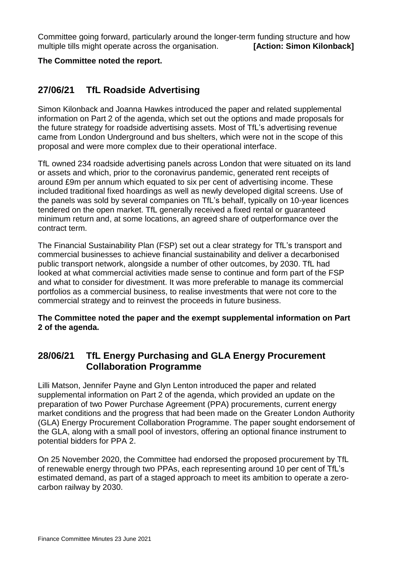Committee going forward, particularly around the longer-term funding structure and how multiple tills might operate across the organisation. **[Action: Simon Kilonback]** 

#### **The Committee noted the report.**

### **27/06/21 TfL Roadside Advertising**

Simon Kilonback and Joanna Hawkes introduced the paper and related supplemental information on Part 2 of the agenda, which set out the options and made proposals for the future strategy for roadside advertising assets. Most of TfL's advertising revenue came from London Underground and bus shelters, which were not in the scope of this proposal and were more complex due to their operational interface.

TfL owned 234 roadside advertising panels across London that were situated on its land or assets and which, prior to the coronavirus pandemic, generated rent receipts of around £9m per annum which equated to six per cent of advertising income. These included traditional fixed hoardings as well as newly developed digital screens. Use of the panels was sold by several companies on TfL's behalf, typically on 10-year licences tendered on the open market. TfL generally received a fixed rental or guaranteed minimum return and, at some locations, an agreed share of outperformance over the contract term.

The Financial Sustainability Plan (FSP) set out a clear strategy for TfL's transport and commercial businesses to achieve financial sustainability and deliver a decarbonised public transport network, alongside a number of other outcomes, by 2030. TfL had looked at what commercial activities made sense to continue and form part of the FSP and what to consider for divestment. It was more preferable to manage its commercial portfolios as a commercial business, to realise investments that were not core to the commercial strategy and to reinvest the proceeds in future business.

**The Committee noted the paper and the exempt supplemental information on Part 2 of the agenda.**

### **28/06/21 TfL Energy Purchasing and GLA Energy Procurement Collaboration Programme**

Lilli Matson, Jennifer Payne and Glyn Lenton introduced the paper and related supplemental information on Part 2 of the agenda, which provided an update on the preparation of two Power Purchase Agreement (PPA) procurements, current energy market conditions and the progress that had been made on the Greater London Authority (GLA) Energy Procurement Collaboration Programme. The paper sought endorsement of the GLA, along with a small pool of investors, offering an optional finance instrument to potential bidders for PPA 2.

On 25 November 2020, the Committee had endorsed the proposed procurement by TfL of renewable energy through two PPAs, each representing around 10 per cent of TfL's estimated demand, as part of a staged approach to meet its ambition to operate a zerocarbon railway by 2030.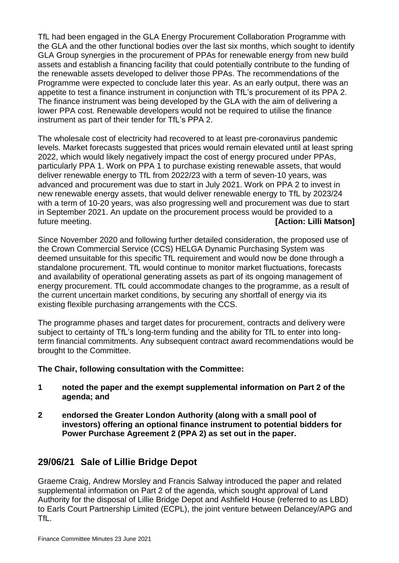TfL had been engaged in the GLA Energy Procurement Collaboration Programme with the GLA and the other functional bodies over the last six months, which sought to identify GLA Group synergies in the procurement of PPAs for renewable energy from new build assets and establish a financing facility that could potentially contribute to the funding of the renewable assets developed to deliver those PPAs. The recommendations of the Programme were expected to conclude later this year. As an early output, there was an appetite to test a finance instrument in conjunction with TfL's procurement of its PPA 2. The finance instrument was being developed by the GLA with the aim of delivering a lower PPA cost. Renewable developers would not be required to utilise the finance instrument as part of their tender for TfL's PPA 2.

The wholesale cost of electricity had recovered to at least pre-coronavirus pandemic levels. Market forecasts suggested that prices would remain elevated until at least spring 2022, which would likely negatively impact the cost of energy procured under PPAs, particularly PPA 1. Work on PPA 1 to purchase existing renewable assets, that would deliver renewable energy to TfL from 2022/23 with a term of seven-10 years, was advanced and procurement was due to start in July 2021. Work on PPA 2 to invest in new renewable energy assets, that would deliver renewable energy to TfL by 2023/24 with a term of 10-20 years, was also progressing well and procurement was due to start in September 2021. An update on the procurement process would be provided to a future meeting. **[Action: Lilli Matson]**

Since November 2020 and following further detailed consideration, the proposed use of the Crown Commercial Service (CCS) HELGA Dynamic Purchasing System was deemed unsuitable for this specific TfL requirement and would now be done through a standalone procurement. TfL would continue to monitor market fluctuations, forecasts and availability of operational generating assets as part of its ongoing management of energy procurement. TfL could accommodate changes to the programme, as a result of the current uncertain market conditions, by securing any shortfall of energy via its existing flexible purchasing arrangements with the CCS.

The programme phases and target dates for procurement, contracts and delivery were subject to certainty of TfL's long-term funding and the ability for TfL to enter into longterm financial commitments. Any subsequent contract award recommendations would be brought to the Committee.

### **The Chair, following consultation with the Committee:**

- **1 noted the paper and the exempt supplemental information on Part 2 of the agenda; and**
- **2 endorsed the Greater London Authority (along with a small pool of investors) offering an optional finance instrument to potential bidders for Power Purchase Agreement 2 (PPA 2) as set out in the paper.**

# **29/06/21 Sale of Lillie Bridge Depot**

Graeme Craig, Andrew Morsley and Francis Salway introduced the paper and related supplemental information on Part 2 of the agenda, which sought approval of Land Authority for the disposal of Lillie Bridge Depot and Ashfield House (referred to as LBD) to Earls Court Partnership Limited (ECPL), the joint venture between Delancey/APG and TfL.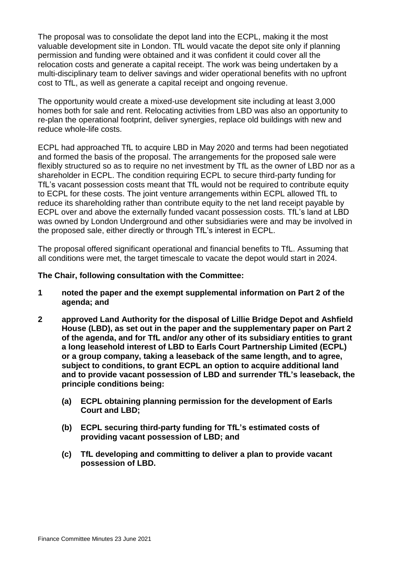The proposal was to consolidate the depot land into the ECPL, making it the most valuable development site in London. TfL would vacate the depot site only if planning permission and funding were obtained and it was confident it could cover all the relocation costs and generate a capital receipt. The work was being undertaken by a multi-disciplinary team to deliver savings and wider operational benefits with no upfront cost to TfL, as well as generate a capital receipt and ongoing revenue.

The opportunity would create a mixed-use development site including at least 3,000 homes both for sale and rent. Relocating activities from LBD was also an opportunity to re-plan the operational footprint, deliver synergies, replace old buildings with new and reduce whole-life costs.

ECPL had approached TfL to acquire LBD in May 2020 and terms had been negotiated and formed the basis of the proposal. The arrangements for the proposed sale were flexibly structured so as to require no net investment by TfL as the owner of LBD nor as a shareholder in ECPL. The condition requiring ECPL to secure third-party funding for TfL's vacant possession costs meant that TfL would not be required to contribute equity to ECPL for these costs. The joint venture arrangements within ECPL allowed TfL to reduce its shareholding rather than contribute equity to the net land receipt payable by ECPL over and above the externally funded vacant possession costs. TfL's land at LBD was owned by London Underground and other subsidiaries were and may be involved in the proposed sale, either directly or through TfL's interest in ECPL.

The proposal offered significant operational and financial benefits to TfL. Assuming that all conditions were met, the target timescale to vacate the depot would start in 2024.

#### **The Chair, following consultation with the Committee:**

- **1 noted the paper and the exempt supplemental information on Part 2 of the agenda; and**
- **2 approved Land Authority for the disposal of Lillie Bridge Depot and Ashfield House (LBD), as set out in the paper and the supplementary paper on Part 2 of the agenda, and for TfL and/or any other of its subsidiary entities to grant a long leasehold interest of LBD to Earls Court Partnership Limited (ECPL) or a group company, taking a leaseback of the same length, and to agree, subject to conditions, to grant ECPL an option to acquire additional land and to provide vacant possession of LBD and surrender TfL's leaseback, the principle conditions being:**
	- **(a) ECPL obtaining planning permission for the development of Earls Court and LBD;**
	- **(b) ECPL securing third-party funding for TfL's estimated costs of providing vacant possession of LBD; and**
	- **(c) TfL developing and committing to deliver a plan to provide vacant possession of LBD.**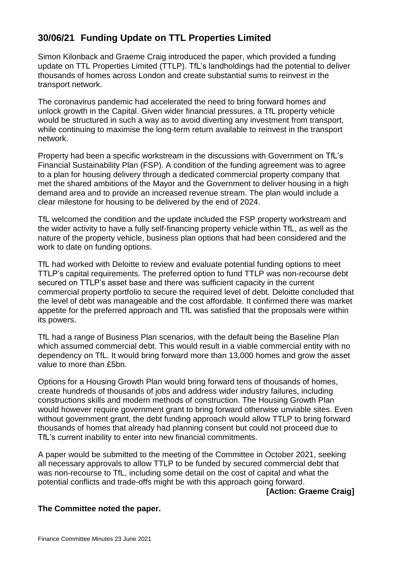# **30/06/21 Funding Update on TTL Properties Limited**

Simon Kilonback and Graeme Craig introduced the paper, which provided a funding update on TTL Properties Limited (TTLP). TfL's landholdings had the potential to deliver thousands of homes across London and create substantial sums to reinvest in the transport network.

The coronavirus pandemic had accelerated the need to bring forward homes and unlock growth in the Capital. Given wider financial pressures, a TfL property vehicle would be structured in such a way as to avoid diverting any investment from transport, while continuing to maximise the long-term return available to reinvest in the transport network.

Property had been a specific workstream in the discussions with Government on TfL's Financial Sustainability Plan (FSP). A condition of the funding agreement was to agree to a plan for housing delivery through a dedicated commercial property company that met the shared ambitions of the Mayor and the Government to deliver housing in a high demand area and to provide an increased revenue stream. The plan would include a clear milestone for housing to be delivered by the end of 2024.

TfL welcomed the condition and the update included the FSP property workstream and the wider activity to have a fully self-financing property vehicle within TfL, as well as the nature of the property vehicle, business plan options that had been considered and the work to date on funding options.

TfL had worked with Deloitte to review and evaluate potential funding options to meet TTLP's capital requirements. The preferred option to fund TTLP was non-recourse debt secured on TTLP's asset base and there was sufficient capacity in the current commercial property portfolio to secure the required level of debt. Deloitte concluded that the level of debt was manageable and the cost affordable. It confirmed there was market appetite for the preferred approach and TfL was satisfied that the proposals were within its powers.

TfL had a range of Business Plan scenarios, with the default being the Baseline Plan which assumed commercial debt. This would result in a viable commercial entity with no dependency on TfL. It would bring forward more than 13,000 homes and grow the asset value to more than £5bn.

Options for a Housing Growth Plan would bring forward tens of thousands of homes, create hundreds of thousands of jobs and address wider industry failures, including constructions skills and modern methods of construction. The Housing Growth Plan would however require government grant to bring forward otherwise unviable sites. Even without government grant, the debt funding approach would allow TTLP to bring forward thousands of homes that already had planning consent but could not proceed due to TfL's current inability to enter into new financial commitments.

A paper would be submitted to the meeting of the Committee in October 2021, seeking all necessary approvals to allow TTLP to be funded by secured commercial debt that was non-recourse to TfL, including some detail on the cost of capital and what the potential conflicts and trade-offs might be with this approach going forward.

**[Action: Graeme Craig]**

### **The Committee noted the paper.**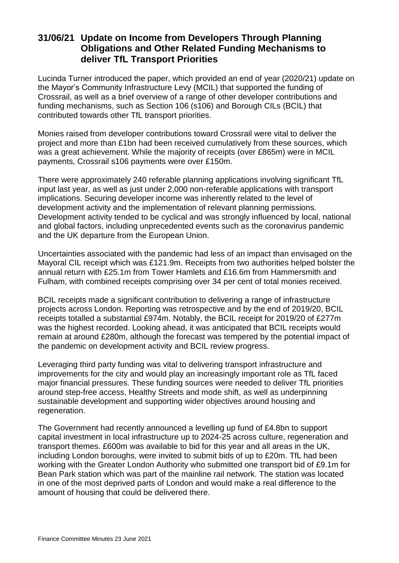## **31/06/21 Update on Income from Developers Through Planning Obligations and Other Related Funding Mechanisms to deliver TfL Transport Priorities**

Lucinda Turner introduced the paper, which provided an end of year (2020/21) update on the Mayor's Community Infrastructure Levy (MCIL) that supported the funding of Crossrail, as well as a brief overview of a range of other developer contributions and funding mechanisms, such as Section 106 (s106) and Borough CILs (BCIL) that contributed towards other TfL transport priorities.

Monies raised from developer contributions toward Crossrail were vital to deliver the project and more than £1bn had been received cumulatively from these sources, which was a great achievement. While the majority of receipts (over £865m) were in MCIL payments, Crossrail s106 payments were over £150m.

There were approximately 240 referable planning applications involving significant TfL input last year, as well as just under 2,000 non-referable applications with transport implications. Securing developer income was inherently related to the level of development activity and the implementation of relevant planning permissions. Development activity tended to be cyclical and was strongly influenced by local, national and global factors, including unprecedented events such as the coronavirus pandemic and the UK departure from the European Union.

Uncertainties associated with the pandemic had less of an impact than envisaged on the Mayoral CIL receipt which was £121.9m. Receipts from two authorities helped bolster the annual return with £25.1m from Tower Hamlets and £16.6m from Hammersmith and Fulham, with combined receipts comprising over 34 per cent of total monies received.

BCIL receipts made a significant contribution to delivering a range of infrastructure projects across London. Reporting was retrospective and by the end of 2019/20, BCIL receipts totalled a substantial £974m. Notably, the BCIL receipt for 2019/20 of £277m was the highest recorded. Looking ahead, it was anticipated that BCIL receipts would remain at around £280m, although the forecast was tempered by the potential impact of the pandemic on development activity and BCIL review progress.

Leveraging third party funding was vital to delivering transport infrastructure and improvements for the city and would play an increasingly important role as TfL faced major financial pressures. These funding sources were needed to deliver TfL priorities around step-free access, Healthy Streets and mode shift, as well as underpinning sustainable development and supporting wider objectives around housing and regeneration.

The Government had recently announced a levelling up fund of £4.8bn to support capital investment in local infrastructure up to 2024-25 across culture, regeneration and transport themes. £600m was available to bid for this year and all areas in the UK, including London boroughs, were invited to submit bids of up to £20m. TfL had been working with the Greater London Authority who submitted one transport bid of £9.1m for Bean Park station which was part of the mainline rail network. The station was located in one of the most deprived parts of London and would make a real difference to the amount of housing that could be delivered there.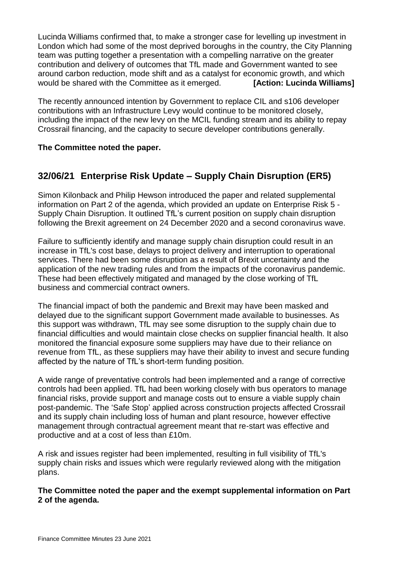Lucinda Williams confirmed that, to make a stronger case for levelling up investment in London which had some of the most deprived boroughs in the country, the City Planning team was putting together a presentation with a compelling narrative on the greater contribution and delivery of outcomes that TfL made and Government wanted to see around carbon reduction, mode shift and as a catalyst for economic growth, and which would be shared with the Committee as it emerged. **[Action: Lucinda Williams]**

The recently announced intention by Government to replace CIL and s106 developer contributions with an Infrastructure Levy would continue to be monitored closely, including the impact of the new levy on the MCIL funding stream and its ability to repay Crossrail financing, and the capacity to secure developer contributions generally.

#### **The Committee noted the paper.**

# **32/06/21 Enterprise Risk Update – Supply Chain Disruption (ER5)**

Simon Kilonback and Philip Hewson introduced the paper and related supplemental information on Part 2 of the agenda, which provided an update on Enterprise Risk 5 - Supply Chain Disruption. It outlined TfL's current position on supply chain disruption following the Brexit agreement on 24 December 2020 and a second coronavirus wave.

Failure to sufficiently identify and manage supply chain disruption could result in an increase in TfL's cost base, delays to project delivery and interruption to operational services. There had been some disruption as a result of Brexit uncertainty and the application of the new trading rules and from the impacts of the coronavirus pandemic. These had been effectively mitigated and managed by the close working of TfL business and commercial contract owners.

The financial impact of both the pandemic and Brexit may have been masked and delayed due to the significant support Government made available to businesses. As this support was withdrawn, TfL may see some disruption to the supply chain due to financial difficulties and would maintain close checks on supplier financial health. It also monitored the financial exposure some suppliers may have due to their reliance on revenue from TfL, as these suppliers may have their ability to invest and secure funding affected by the nature of TfL's short-term funding position.

A wide range of preventative controls had been implemented and a range of corrective controls had been applied. TfL had been working closely with bus operators to manage financial risks, provide support and manage costs out to ensure a viable supply chain post-pandemic. The 'Safe Stop' applied across construction projects affected Crossrail and its supply chain including loss of human and plant resource, however effective management through contractual agreement meant that re-start was effective and productive and at a cost of less than £10m.

A risk and issues register had been implemented, resulting in full visibility of TfL's supply chain risks and issues which were regularly reviewed along with the mitigation plans.

**The Committee noted the paper and the exempt supplemental information on Part 2 of the agenda.**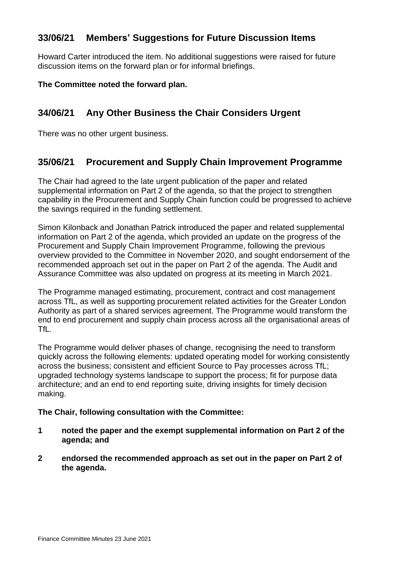# **33/06/21 Members' Suggestions for Future Discussion Items**

Howard Carter introduced the item. No additional suggestions were raised for future discussion items on the forward plan or for informal briefings.

**The Committee noted the forward plan.**

# **34/06/21 Any Other Business the Chair Considers Urgent**

There was no other urgent business.

# **35/06/21 Procurement and Supply Chain Improvement Programme**

The Chair had agreed to the late urgent publication of the paper and related supplemental information on Part 2 of the agenda, so that the project to strengthen capability in the Procurement and Supply Chain function could be progressed to achieve the savings required in the funding settlement.

Simon Kilonback and Jonathan Patrick introduced the paper and related supplemental information on Part 2 of the agenda, which provided an update on the progress of the Procurement and Supply Chain Improvement Programme, following the previous overview provided to the Committee in November 2020, and sought endorsement of the recommended approach set out in the paper on Part 2 of the agenda. The Audit and Assurance Committee was also updated on progress at its meeting in March 2021.

The Programme managed estimating, procurement, contract and cost management across TfL, as well as supporting procurement related activities for the Greater London Authority as part of a shared services agreement. The Programme would transform the end to end procurement and supply chain process across all the organisational areas of TfL.

The Programme would deliver phases of change, recognising the need to transform quickly across the following elements: updated operating model for working consistently across the business; consistent and efficient Source to Pay processes across TfL; upgraded technology systems landscape to support the process; fit for purpose data architecture; and an end to end reporting suite, driving insights for timely decision making.

#### **The Chair, following consultation with the Committee:**

- **1 noted the paper and the exempt supplemental information on Part 2 of the agenda; and**
- **2 endorsed the recommended approach as set out in the paper on Part 2 of the agenda.**